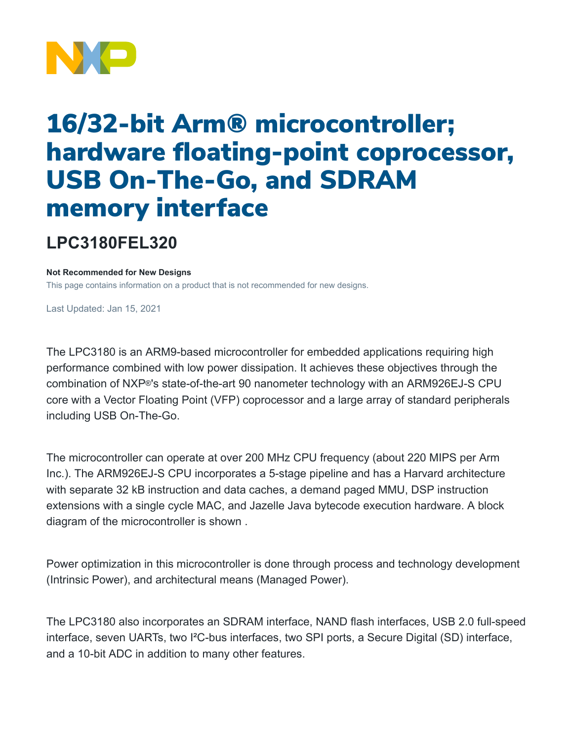

## 16/32-bit Arm® microcontroller; hardware floating-point coprocessor, USB On-The-Go, and SDRAM memory interface

## **LPC3180FEL320**

**Not Recommended for New Designs**

This page contains information on a product that is not recommended for new designs.

Last Updated: Jan 15, 2021

The LPC3180 is an ARM9-based microcontroller for embedded applications requiring high performance combined with low power dissipation. It achieves these objectives through the combination of NXP®'s state-of-the-art 90 nanometer technology with an ARM926EJ-S CPU core with a Vector Floating Point (VFP) coprocessor and a large array of standard peripherals including USB On-The-Go.

The microcontroller can operate at over 200 MHz CPU frequency (about 220 MIPS per Arm Inc.). The ARM926EJ-S CPU incorporates a 5-stage pipeline and has a Harvard architecture with separate 32 kB instruction and data caches, a demand paged MMU, DSP instruction extensions with a single cycle MAC, and Jazelle Java bytecode execution hardware. A block diagram of the microcontroller is shown .

Power optimization in this microcontroller is done through process and technology development (Intrinsic Power), and architectural means (Managed Power).

The LPC3180 also incorporates an SDRAM interface, NAND flash interfaces, USB 2.0 full-speed interface, seven UARTs, two I²C-bus interfaces, two SPI ports, a Secure Digital (SD) interface, and a 10-bit ADC in addition to many other features.